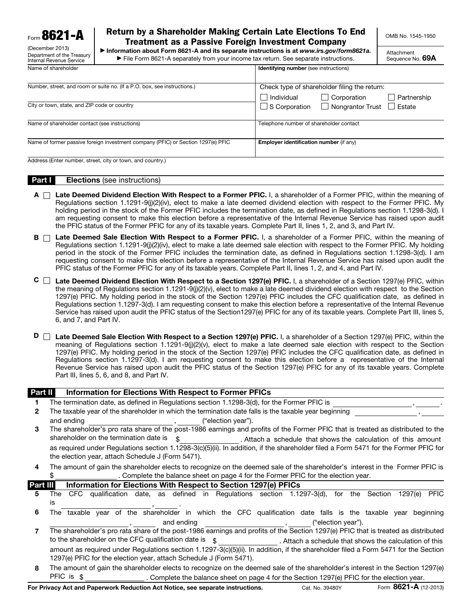Form 8621-A

(December 2013) Department of the Treasury Internal Revenue Service

# Return by a Shareholder Making Certain Late Elections To End Treatment as a Passive Foreign Investment Company

OMB No. 1545-1950

▶ Information about Form 8621-A and its separate instructions is at *www.irs.gov/form8621a.* ▶ File Form 8621-A separately from your income tax return. See separate instructions.

Attachment Sequence No. 69A

| Name of shareholder                                                              | <b>Identifying number</b> (see instructions)           |
|----------------------------------------------------------------------------------|--------------------------------------------------------|
|                                                                                  |                                                        |
| Number, street, and room or suite no. (If a P.O. box, see instructions.)         | Check type of shareholder filing the return:           |
|                                                                                  | $\Box$ Corporation<br>Individual<br>Partnership        |
| City or town, state, and ZIP code or country                                     | $\Box$ Nongrantor Trust $\Box$ Estate<br>S Corporation |
| Name of shareholder contact (see instructions)                                   | Telephone number of shareholder contact                |
| Name of former passive foreign investment company (PFIC) or Section 1297(e) PFIC | Employer identification number (if any)                |
| Address (Enter number, street, city or town, and country.)                       |                                                        |

#### **Part I** Elections (see instructions)

- $A \cap$  Late Deemed Dividend Election With Respect to a Former PFIC. I, a shareholder of a Former PFIC, within the meaning of Regulations section 1.1291-9(j)(2)(iv), elect to make a late deemed dividend election with respect to the Former PFIC. My holding period in the stock of the Former PFIC includes the termination date, as defined in Regulations section 1.1298-3(d). I am requesting consent to make this election before a representative of the Internal Revenue Service has raised upon audit the PFIC status of the Former PFIC for any of its taxable years. Complete Part II, lines 1, 2, and 3, and Part IV.
- B  $\Box$  Late Deemed Sale Election With Respect to a Former PFIC. I, a shareholder of a Former PFIC, within the meaning of Regulations section 1.1291-9(j)(2)(iv), elect to make a late deemed sale election with respect to the Former PFIC. My holding period in the stock of the Former PFIC includes the termination date, as defined in Regulations section 1.1298-3(d). I am requesting consent to make this election before a representative of the Internal Revenue Service has raised upon audit the PFIC status of the Former PFIC for any of its taxable years. Complete Part II, lines 1, 2, and 4, and Part IV.
- $C \Box$  Late Deemed Dividend Election With Respect to a Section 1297(e) PFIC. I, a shareholder of a Section 1297(e) PFIC, within the meaning of Regulations section 1.1291-9(j)(2)(v), elect to make a late deemed dividend election with respect to the Section 1297(e) PFIC. My holding period in the stock of the Section 1297(e) PFIC includes the CFC qualification date, as defined in Regulations section 1.1297-3(d). I am requesting consent to make this election before a representative of the Internal Revenue Service has raised upon audit the PFIC status of the Section1297(e) PFIC for any of its taxable years. Complete Part III, lines 5, 6, and 7, and Part IV.
- D □ Late Deemed Sale Election With Respect to a Section 1297(e) PFIC. I, a shareholder of a Section 1297(e) PFIC, within the meaning of Regulations section 1.1291-9(j)(2)(v), elect to make a late deemed sale election with respect to the Section 1297(e) PFIC. My holding period in the stock of the Section 1297(e) PFIC includes the CFC qualification date, as defined in Regulations section 1.1297-3(d). I am requesting consent to make this election before a representative of the Internal Revenue Service has raised upon audit the PFIC status of the Section 1297(e) PFIC for any of its taxable years. Complete Part III, lines 5, 6, and 8, and Part IV.

## Part II Information for Elections With Respect to Former PFICs

- 1 The termination date, as defined in Regulations section 1.1298-3(d), for the Former PFIC is
- 2 The taxable year of the shareholder in which the termination date falls is the taxable year beginning and ending and ending the state of the control of the control of the control of the control of the control of the control of the control of the control of the control of the control of the control of the control of the con
- 3 The shareholder's pro rata share of the post-1986 earnings and profits of the Former PFIC that is treated as distributed to the shareholder on the termination date is  $\phi$  . Attach a schedule that shows the calculation of this amount as required under Regulations section 1.1298-3(c)(5)(ii). In addition, if the shareholder filed a Form 5471 for the Former PFIC for the election year, attach Schedule J (Form 5471).
- 4 The amount of gain the shareholder elects to recognize on the deemed sale of the shareholder's interest in the Former PFIC is \$

| Part III |                                                                                                                                    |                                                            |  |  |  |  |  |  |  | Information for Elections With Respect to Section 1297(e) PFICs                                                                   |                    |  |                                                        |  |
|----------|------------------------------------------------------------------------------------------------------------------------------------|------------------------------------------------------------|--|--|--|--|--|--|--|-----------------------------------------------------------------------------------------------------------------------------------|--------------------|--|--------------------------------------------------------|--|
| 5        | The                                                                                                                                |                                                            |  |  |  |  |  |  |  | CFC qualification date, as defined in Regulations section 1.1297-3(d), for the Section 1297(e) PFIC                               |                    |  |                                                        |  |
|          | IS                                                                                                                                 |                                                            |  |  |  |  |  |  |  |                                                                                                                                   |                    |  |                                                        |  |
| 6        |                                                                                                                                    |                                                            |  |  |  |  |  |  |  | The taxable year of the shareholder in which the CFC qualification date falls is the taxable year beginning                       |                    |  |                                                        |  |
|          |                                                                                                                                    |                                                            |  |  |  |  |  |  |  | and ending the same state of the same state of the same state of the same state of the same state of the same s                   | ("election year"). |  |                                                        |  |
|          |                                                                                                                                    |                                                            |  |  |  |  |  |  |  | The shareholder's pro rata share of the post-1986 earnings and profits of the Section 1297(e) PFIC that is treated as distributed |                    |  |                                                        |  |
|          |                                                                                                                                    | to the shareholder on the CFC qualification date is \ \ \$ |  |  |  |  |  |  |  |                                                                                                                                   |                    |  | . Attach a schedule that shows the calculation of this |  |
|          | amount as required under Regulations section 1.1297-3(c)(5)(ii). In addition, if the shareholder filed a Form 5471 for the Section |                                                            |  |  |  |  |  |  |  |                                                                                                                                   |                    |  |                                                        |  |

1297(e) PFIC for the election year, attach Schedule J (Form 5471). 8 The amount of gain the shareholder elects to recognize on the deemed sale of the shareholder's interest in the Section 1297(e) PFIC is  $\frac{1}{2}$  . Complete the balance sheet on page 4 for the Section 1297(e) PFIC for the election year.

For Privacy Act and Paperwork Reduction Act Notice, see separate instructions. Cat. No. 39480Y Form 8621-A (12-2013)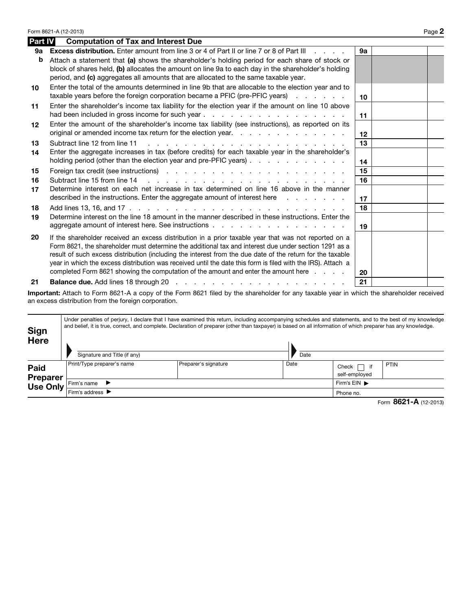|                | Form 8621-A (12-2013)                                                                                                                                                                                                                                                                                                                                                                                                                                                                                                               |    | Page 2 |
|----------------|-------------------------------------------------------------------------------------------------------------------------------------------------------------------------------------------------------------------------------------------------------------------------------------------------------------------------------------------------------------------------------------------------------------------------------------------------------------------------------------------------------------------------------------|----|--------|
| <b>Part IV</b> | <b>Computation of Tax and Interest Due</b>                                                                                                                                                                                                                                                                                                                                                                                                                                                                                          |    |        |
| 9а             | <b>Excess distribution.</b> Enter amount from line 3 or 4 of Part II or line 7 or 8 of Part III                                                                                                                                                                                                                                                                                                                                                                                                                                     | 9а |        |
| b              | Attach a statement that (a) shows the shareholder's holding period for each share of stock or<br>block of shares held, (b) allocates the amount on line 9a to each day in the shareholder's holding<br>period, and (c) aggregates all amounts that are allocated to the same taxable year.                                                                                                                                                                                                                                          |    |        |
| 10             | Enter the total of the amounts determined in line 9b that are allocable to the election year and to<br>taxable years before the foreign corporation became a PFIC (pre-PFIC years)                                                                                                                                                                                                                                                                                                                                                  | 10 |        |
| 11             | Enter the shareholder's income tax liability for the election year if the amount on line 10 above                                                                                                                                                                                                                                                                                                                                                                                                                                   | 11 |        |
| 12             | Enter the amount of the shareholder's income tax liability (see instructions), as reported on its<br>original or amended income tax return for the election year.                                                                                                                                                                                                                                                                                                                                                                   | 12 |        |
| 13             | Subtract line 12 from line 11                                                                                                                                                                                                                                                                                                                                                                                                                                                                                                       | 13 |        |
| 14             | Enter the aggregate increases in tax (before credits) for each taxable year in the shareholder's<br>holding period (other than the election year and pre-PFIC years)                                                                                                                                                                                                                                                                                                                                                                | 14 |        |
| 15             |                                                                                                                                                                                                                                                                                                                                                                                                                                                                                                                                     | 15 |        |
| 16             | Subtract line 15 from line 14<br>the second contract of the second contract of the second contract of the second contract of the second contract of the second contract of the second contract of the second contract of the second contract of the second cont                                                                                                                                                                                                                                                                     | 16 |        |
| 17             | Determine interest on each net increase in tax determined on line 16 above in the manner<br>described in the instructions. Enter the aggregate amount of interest here                                                                                                                                                                                                                                                                                                                                                              | 17 |        |
| 18             |                                                                                                                                                                                                                                                                                                                                                                                                                                                                                                                                     | 18 |        |
| 19             | Determine interest on the line 18 amount in the manner described in these instructions. Enter the                                                                                                                                                                                                                                                                                                                                                                                                                                   | 19 |        |
| 20             | If the shareholder received an excess distribution in a prior taxable year that was not reported on a<br>Form 8621, the shareholder must determine the additional tax and interest due under section 1291 as a<br>result of such excess distribution (including the interest from the due date of the return for the taxable<br>year in which the excess distribution was received until the date this form is filed with the IRS). Attach a<br>completed Form 8621 showing the computation of the amount and enter the amount here | 20 |        |
| 21             |                                                                                                                                                                                                                                                                                                                                                                                                                                                                                                                                     | 21 |        |

Important: Attach to Form 8621-A a copy of the Form 8621 filed by the shareholder for any taxable year in which the shareholder received an excess distribution from the foreign corporation.

| <b>Sign</b><br>Here                        | Signature and Title (if any)         |                                    | Date | Under penalties of perjury, I declare that I have examined this return, including accompanying schedules and statements, and to the best of my knowledge<br>and belief, it is true, correct, and complete. Declaration of preparer (other than taxpayer) is based on all information of which preparer has any knowledge. |      |  |  |  |  |
|--------------------------------------------|--------------------------------------|------------------------------------|------|---------------------------------------------------------------------------------------------------------------------------------------------------------------------------------------------------------------------------------------------------------------------------------------------------------------------------|------|--|--|--|--|
| <b>Paid</b><br><b>Preparer</b><br>Use Only | Print/Type preparer's name           | Preparer's signature               | Date | Check [<br>ヿ if<br>self-employed                                                                                                                                                                                                                                                                                          | PTIN |  |  |  |  |
|                                            | Firm's name<br>$\rightarrow$         | Firm's $EIN$ $\blacktriangleright$ |      |                                                                                                                                                                                                                                                                                                                           |      |  |  |  |  |
|                                            | Firm's address $\blacktriangleright$ |                                    |      |                                                                                                                                                                                                                                                                                                                           |      |  |  |  |  |

|  | Form 8621-A (12-2013) |  |
|--|-----------------------|--|
|--|-----------------------|--|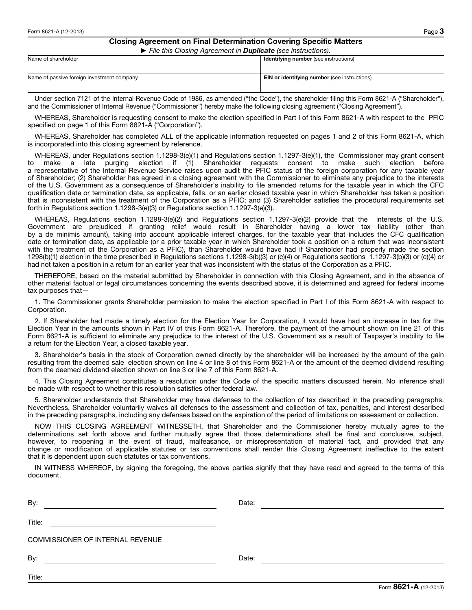## Closing Agreement on Final Determination Covering Specific Matters

▶ File this Closing Agreement in **Duplicate** (see instructions).

|                                            | ີ |                                                     |
|--------------------------------------------|---|-----------------------------------------------------|
| Name of shareholder                        |   | <b>Identifying number</b> (see instructions)        |
|                                            |   |                                                     |
|                                            |   |                                                     |
| Name of passive foreign investment company |   | <b>EIN or identifying number</b> (see instructions) |
|                                            |   |                                                     |
|                                            |   |                                                     |

Under section 7121 of the Internal Revenue Code of 1986, as amended ("the Code"), the shareholder filing this Form 8621-A ("Shareholder"), and the Commissioner of Internal Revenue ("Commissioner") hereby make the following closing agreement ("Closing Agreement").

WHEREAS, Shareholder is requesting consent to make the election specified in Part I of this Form 8621-A with respect to the PFIC specified on page 1 of this Form 8621-A ("Corporation").

WHEREAS, Shareholder has completed ALL of the applicable information requested on pages 1 and 2 of this Form 8621-A, which is incorporated into this closing agreement by reference.

WHEREAS, under Regulations section 1.1298-3(e)(1) and Regulations section 1.1297-3(e)(1), the Commissioner may grant consent<br>to make a late purging election if (1) Shareholder requests consent to make such election before purging election if  $(1)$  Shareholder requests consent to make such election a representative of the Internal Revenue Service raises upon audit the PFIC status of the foreign corporation for any taxable year of Shareholder; (2) Shareholder has agreed in a closing agreement with the Commissioner to eliminate any prejudice to the interests of the U.S. Government as a consequence of Shareholder's inability to file amended returns for the taxable year in which the CFC qualification date or termination date, as applicable, falls, or an earlier closed taxable year in which Shareholder has taken a position that is inconsistent with the treatment of the Corporation as a PFIC; and (3) Shareholder satisfies the procedural requirements set forth in Regulations section 1.1298-3(e)(3) or Regulations section 1.1297-3(e)(3).

WHEREAS, Regulations section 1.1298-3(e)(2) and Regulations section 1.1297-3(e)(2) provide that the interests of the U.S. Government are prejudiced if granting relief would result in Shareholder having a lower tax liability (other than by a de minimis amount), taking into account applicable interest charges, for the taxable year that includes the CFC qualification date or termination date, as applicable (or a prior taxable year in which Shareholder took a position on a return that was inconsistent with the treatment of the Corporation as a PFIC), than Shareholder would have had if Shareholder had properly made the section 1298(b)(1) election in the time prescribed in Regulations sections 1.1298-3(b)(3) or (c)(4) or Regulations sections 1.1297-3(b)(3) or (c)(4) or had not taken a position in a return for an earlier year that was inconsistent with the status of the Corporation as a PFIC.

THEREFORE, based on the material submitted by Shareholder in connection with this Closing Agreement, and in the absence of other material factual or legal circumstances concerning the events described above, it is determined and agreed for federal income tax purposes that—

1. The Commissioner grants Shareholder permission to make the election specified in Part I of this Form 8621-A with respect to Corporation.

2. If Shareholder had made a timely election for the Election Year for Corporation, it would have had an increase in tax for the Election Year in the amounts shown in Part IV of this Form 8621-A. Therefore, the payment of the amount shown on line 21 of this Form 8621-A is sufficient to eliminate any prejudice to the interest of the U.S. Government as a result of Taxpayer's inability to file a return for the Election Year, a closed taxable year.

3. Shareholder's basis in the stock of Corporation owned directly by the shareholder will be increased by the amount of the gain resulting from the deemed sale election shown on line 4 or line 8 of this Form 8621-A or the amount of the deemed dividend resulting from the deemed dividend election shown on line 3 or line 7 of this Form 8621-A.

4. This Closing Agreement constitutes a resolution under the Code of the specific matters discussed herein. No inference shall be made with respect to whether this resolution satisfies other federal law.

5. Shareholder understands that Shareholder may have defenses to the collection of tax described in the preceding paragraphs. Nevertheless, Shareholder voluntarily waives all defenses to the assessment and collection of tax, penalties, and interest described in the preceding paragraphs, including any defenses based on the expiration of the period of limitations on assessment or collection.

NOW THIS CLOSING AGREEMENT WITNESSETH, that Shareholder and the Commissioner hereby mutually agree to the determinations set forth above and further mutually agree that those determinations shall be final and conclusive, subject, however, to reopening in the event of fraud, malfeasance, or misrepresentation of material fact, and provided that any change or modification of applicable statutes or tax conventions shall render this Closing Agreement ineffective to the extent that it is dependent upon such statutes or tax conventions.

IN WITNESS WHEREOF, by signing the foregoing, the above parties signify that they have read and agreed to the terms of this document.

| By:                              | Date: |
|----------------------------------|-------|
| Title:                           |       |
| COMMISSIONER OF INTERNAL REVENUE |       |
| By:                              | Date: |
| Title:                           |       |

Form 8621-A (12-2013)